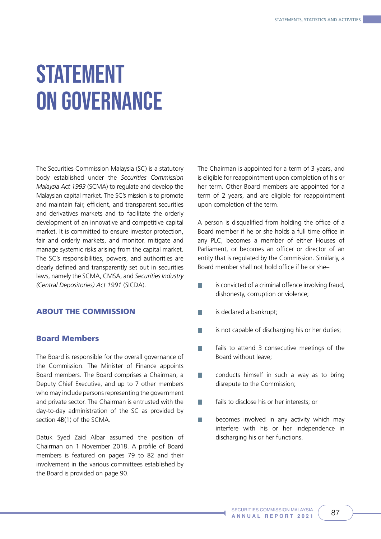# STATEMENT ON GOVERNANCE

The Securities Commission Malaysia (SC) is a statutory body established under the *Securities Commission Malaysia Act 1993* (SCMA) to regulate and develop the Malaysian capital market. The SC's mission is to promote and maintain fair, efficient, and transparent securities and derivatives markets and to facilitate the orderly development of an innovative and competitive capital market. It is committed to ensure investor protection, fair and orderly markets, and monitor, mitigate and manage systemic risks arising from the capital market. The SC's responsibilities, powers, and authorities are clearly defined and transparently set out in securities laws, namely the SCMA, CMSA, and *Securities Industry (Central Depositories) Act 1991* (SICDA).

# ABOUT THE COMMISSION

#### Board Members

The Board is responsible for the overall governance of the Commission. The Minister of Finance appoints Board members. The Board comprises a Chairman, a Deputy Chief Executive, and up to 7 other members who may include persons representing the government and private sector. The Chairman is entrusted with the day-to-day administration of the SC as provided by section 4B(1) of the SCMA.

Datuk Syed Zaid Albar assumed the position of Chairman on 1 November 2018. A profile of Board members is featured on pages 79 to 82 and their involvement in the various committees established by the Board is provided on page 90.

The Chairman is appointed for a term of 3 years, and is eligible for reappointment upon completion of his or her term. Other Board members are appointed for a term of 2 years, and are eligible for reappointment upon completion of the term.

A person is disqualified from holding the office of a Board member if he or she holds a full time office in any PLC, becomes a member of either Houses of Parliament, or becomes an officer or director of an entity that is regulated by the Commission. Similarly, a Board member shall not hold office if he or she–

- is convicted of a criminal offence involving fraud, m. dishonesty, corruption or violence;
- is declared a bankrupt;
- is not capable of discharging his or her duties; T.
- fails to attend 3 consecutive meetings of the Board without leave;
- conducts himself in such a way as to bring M disrepute to the Commission;
- m. fails to disclose his or her interests; or
- m. becomes involved in any activity which may interfere with his or her independence in discharging his or her functions.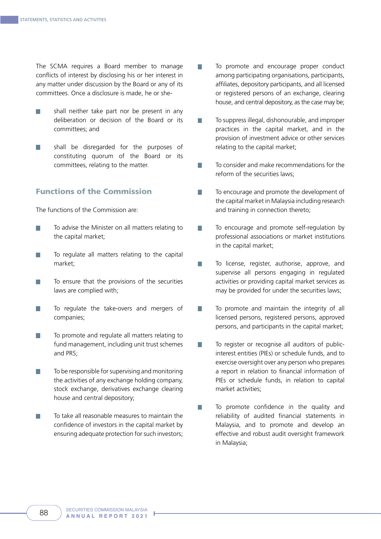The SCMA requires a Board member to manage conflicts of interest by disclosing his or her interest in any matter under discussion by the Board or any of its committees. Once a disclosure is made, he or she-

- shall neither take part nor be present in any F. deliberation or decision of the Board or its committees; and
- shall be disregarded for the purposes of T. constituting quorum of the Board or its committees, relating to the matter.

# Functions of the Commission

The functions of the Commission are:

- To advise the Minister on all matters relating to  $\mathcal{L}_{\mathcal{A}}$ the capital market;
- To regulate all matters relating to the capital market;
- To ensure that the provisions of the securities **Tale** laws are complied with;
- To regulate the take-overs and mergers of F. companies;
- To promote and regulate all matters relating to **I** fund management, including unit trust schemes and PRS;
- To be responsible for supervising and monitoring **I** the activities of any exchange holding company, stock exchange, derivatives exchange clearing house and central depository;
- To take all reasonable measures to maintain the  $\mathcal{L}_{\mathcal{A}}$ confidence of investors in the capital market by ensuring adequate protection for such investors;
- To promote and encourage proper conduct among participating organisations, participants, affiliates, depository participants, and all licensed or registered persons of an exchange, clearing house, and central depository, as the case may be;
- To suppress illegal, dishonourable, and improper  $\overline{\phantom{a}}$ practices in the capital market, and in the provision of investment advice or other services relating to the capital market;
- To consider and make recommendations for the F. reform of the securities laws;
- To encourage and promote the development of m. the capital market in Malaysia including research and training in connection thereto;
- To encourage and promote self-regulation by  $\overline{\phantom{a}}$ professional associations or market institutions in the capital market;
- To license, register, authorise, approve, and T. supervise all persons engaging in regulated activities or providing capital market services as may be provided for under the securities laws;
- To promote and maintain the integrity of all  $\overline{\phantom{a}}$ licensed persons, registered persons, approved persons, and participants in the capital market;
- To register or recognise all auditors of publicm. interest entities (PIEs) or schedule funds, and to exercise oversight over any person who prepares a report in relation to financial information of PIEs or schedule funds, in relation to capital market activities;
- To promote confidence in the quality and m. reliability of audited financial statements in Malaysia, and to promote and develop an effective and robust audit oversight framework in Malaysia;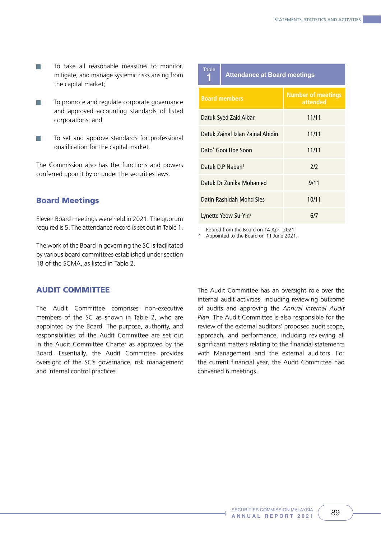- To take all reasonable measures to monitor, n. mitigate, and manage systemic risks arising from the capital market;
- П To promote and regulate corporate governance and approved accounting standards of listed corporations; and
- To set and approve standards for professional  $\sim$ qualification for the capital market.

The Commission also has the functions and powers conferred upon it by or under the securities laws.

# Board Meetings

Eleven Board meetings were held in 2021. The quorum required is 5. The attendance record is set out in Table 1.

The work of the Board in governing the SC is facilitated by various board committees established under section 18 of the SCMA, as listed in Table 2.

#### AUDIT COMMITTEE

The Audit Committee comprises non-executive members of the SC as shown in Table 2, who are appointed by the Board. The purpose, authority, and responsibilities of the Audit Committee are set out in the Audit Committee Charter as approved by the Board. Essentially, the Audit Committee provides oversight of the SC's governance, risk management and internal control practices.

| <b>Table</b>                     | <b>Attendance at Board meetings</b> |                                       |  |  |
|----------------------------------|-------------------------------------|---------------------------------------|--|--|
| <b>Board members</b>             |                                     | <b>Number of meetings</b><br>attended |  |  |
| Datuk Syed Zaid Albar            |                                     | 11/11                                 |  |  |
| Datuk Zainal Izlan Zainal Abidin |                                     | 11/11                                 |  |  |
| Dato' Gooi Hoe Soon              |                                     | 11/11                                 |  |  |
| Datuk D.P Naban <sup>1</sup>     |                                     | 212                                   |  |  |
| Datuk Dr Zunika Mohamed          |                                     | 9/11                                  |  |  |
| Datin Rashidah Mohd Sies         |                                     | 10/11                                 |  |  |
| Lynette Yeow Su-Yin <sup>2</sup> |                                     | 6/7                                   |  |  |

1 Retired from the Board on 14 April 2021.

2 Appointed to the Board on 11 June 2021.

The Audit Committee has an oversight role over the internal audit activities, including reviewing outcome of audits and approving the *Annual Internal Audit Plan*. The Audit Committee is also responsible for the review of the external auditors' proposed audit scope, approach, and performance, including reviewing all significant matters relating to the financial statements with Management and the external auditors. For the current financial year, the Audit Committee had convened 6 meetings.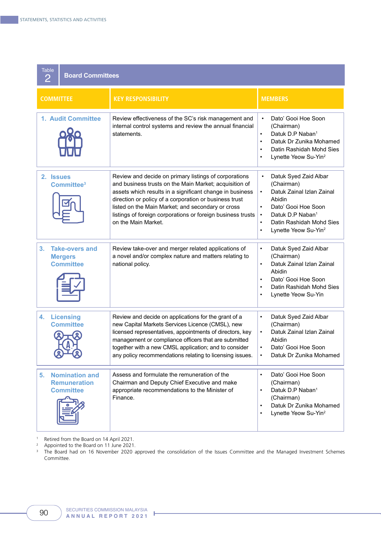|                    | <b>Table</b><br><b>Board Committees</b><br>2                     |                                                                                                                                                                                                                                                                                                                                                                                  |                                                                                                                                                                                                                                                                                 |  |  |  |  |  |  |
|--------------------|------------------------------------------------------------------|----------------------------------------------------------------------------------------------------------------------------------------------------------------------------------------------------------------------------------------------------------------------------------------------------------------------------------------------------------------------------------|---------------------------------------------------------------------------------------------------------------------------------------------------------------------------------------------------------------------------------------------------------------------------------|--|--|--|--|--|--|
| <b>COMMITTEE</b>   |                                                                  | <b>KEY RESPONSIBILITY</b>                                                                                                                                                                                                                                                                                                                                                        | <b>MEMBERS</b>                                                                                                                                                                                                                                                                  |  |  |  |  |  |  |
| 1. Audit Committee |                                                                  | Review effectiveness of the SC's risk management and<br>internal control systems and review the annual financial<br>statements.                                                                                                                                                                                                                                                  | Dato' Gooi Hoe Soon<br>$\bullet$<br>(Chairman)<br>Datuk D.P Naban <sup>1</sup><br>$\bullet$<br>Datuk Dr Zunika Mohamed<br>$\bullet$<br>Datin Rashidah Mohd Sies<br>$\bullet$<br>Lynette Yeow Su-Yin <sup>2</sup><br>$\bullet$                                                   |  |  |  |  |  |  |
|                    | 2. Issues<br>Committee <sup>3</sup>                              | Review and decide on primary listings of corporations<br>and business trusts on the Main Market; acquisition of<br>assets which results in a significant change in business<br>direction or policy of a corporation or business trust<br>listed on the Main Market; and secondary or cross<br>listings of foreign corporations or foreign business trusts<br>on the Main Market. | Datuk Syed Zaid Albar<br>$\bullet$<br>(Chairman)<br>Datuk Zainal Izlan Zainal<br>$\bullet$<br>Abidin<br>Dato' Gooi Hoe Soon<br>$\bullet$<br>Datuk D.P Naban <sup>1</sup><br>$\bullet$<br>Datin Rashidah Mohd Sies<br>$\bullet$<br>Lynette Yeow Su-Yin <sup>2</sup><br>$\bullet$ |  |  |  |  |  |  |
| 3.                 | <b>Take-overs and</b><br><b>Mergers</b><br><b>Committee</b>      | Review take-over and merger related applications of<br>a novel and/or complex nature and matters relating to<br>national policy.                                                                                                                                                                                                                                                 | Datuk Syed Zaid Albar<br>$\bullet$<br>(Chairman)<br>Datuk Zainal Izlan Zainal<br>$\bullet$<br>Abidin<br>Dato' Gooi Hoe Soon<br>$\bullet$<br>Datin Rashidah Mohd Sies<br>$\bullet$<br>Lynette Yeow Su-Yin<br>$\bullet$                                                           |  |  |  |  |  |  |
| 4.                 | <b>Licensing</b><br><b>Committee</b>                             | Review and decide on applications for the grant of a<br>new Capital Markets Services Licence (CMSL), new<br>licensed representatives, appointments of directors, key<br>management or compliance officers that are submitted<br>together with a new CMSL application; and to consider<br>any policy recommendations relating to licensing issues.                                | Datuk Syed Zaid Albar<br>$\bullet$<br>(Chairman)<br>Datuk Zainal Izlan Zainal<br>$\bullet$<br>Abidin<br>Dato' Gooi Hoe Soon<br>$\bullet$<br>Datuk Dr Zunika Mohamed<br>$\bullet$                                                                                                |  |  |  |  |  |  |
| 5.                 | <b>Nomination and</b><br><b>Remuneration</b><br><b>Committee</b> | Assess and formulate the remuneration of the<br>Chairman and Deputy Chief Executive and make<br>appropriate recommendations to the Minister of<br>Finance.                                                                                                                                                                                                                       | Dato' Gooi Hoe Soon<br>$\bullet$<br>(Chairman)<br>Datuk D.P Naban <sup>1</sup><br>$\bullet$<br>(Chairman)<br>Datuk Dr Zunika Mohamed<br>$\bullet$<br>Lynette Yeow Su-Yin <sup>2</sup><br>$\bullet$                                                                              |  |  |  |  |  |  |

1 Retired from the Board on 14 April 2021.

<sup>2</sup> Appointed to the Board on 11 June 2021.

<sup>3</sup> The Board had on 16 November 2020 approved the consolidation of the Issues Committee and the Managed Investment Schemes Committee.

I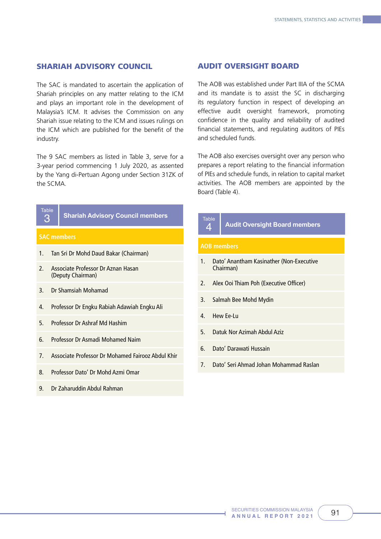#### SHARIAH ADVISORY COUNCIL

The SAC is mandated to ascertain the application of Shariah principles on any matter relating to the ICM and plays an important role in the development of Malaysia's ICM. It advises the Commission on any Shariah issue relating to the ICM and issues rulings on the ICM which are published for the benefit of the industry.

The 9 SAC members as listed in Table 3, serve for a 3-year period commencing 1 July 2020, as assented by the Yang di-Pertuan Agong under Section 31ZK of the SCMA.

|                                  | <b>Table</b> |                                                         |  |                   |                |
|----------------------------------|--------------|---------------------------------------------------------|--|-------------------|----------------|
| З                                |              | <b>Shariah Advisory Council members</b>                 |  | <b>Table</b><br>4 |                |
|                                  |              | <b>SAC members</b>                                      |  |                   |                |
| 1.                               |              | Tan Sri Dr Mohd Daud Bakar (Chairman)                   |  | AOB <sub>1</sub>  |                |
| $\mathcal{P}$                    |              | Associate Professor Dr Aznan Hasan<br>(Deputy Chairman) |  | 1.                |                |
| 3.                               |              | Dr Shamsiah Mohamad                                     |  | $\mathfrak{Z}$ .  | $\overline{1}$ |
| 4.                               |              | Professor Dr Engku Rabiah Adawiah Engku Ali             |  | 3.                | S              |
| 5.                               |              | Professor Dr Ashraf Md Hashim                           |  | 4                 | ŀ              |
| 6.                               |              | Professor Dr Asmadi Mohamed Naim                        |  | 5.                | L.             |
| $7_{\scriptscriptstyle{\ddots}}$ |              | Associate Professor Dr Mohamed Fairooz Abdul Khir       |  | 6.                |                |
|                                  |              |                                                         |  | 7.                |                |
| 8.                               |              | Professor Dato' Dr Mohd Azmi Omar                       |  |                   |                |

9. Dr Zaharuddin Abdul Rahman

# AUDIT OVERSIGHT BOARD

The AOB was established under Part IIIA of the SCMA and its mandate is to assist the SC in discharging its regulatory function in respect of developing an effective audit oversight framework, promoting confidence in the quality and reliability of audited financial statements, and regulating auditors of PIEs and scheduled funds.

The AOB also exercises oversight over any person who prepares a report relating to the financial information of PIEs and schedule funds, in relation to capital market activities. The AOB members are appointed by the Board (Table 4).

# **AOB members** 1. Dato' Anantham Kasinather (Non-Executive Chairman) 2. Alex Ooi Thiam Poh (Executive Officer) 3. Salmah Bee Mohd Mydin 4. Hew Ee-Lu 5. Datuk Nor Azimah Abdul Aziz 6. Dato' Darawati Hussain 7. Dato' Seri Ahmad Johan Mohammad Raslan 4 **Audit Oversight Board members**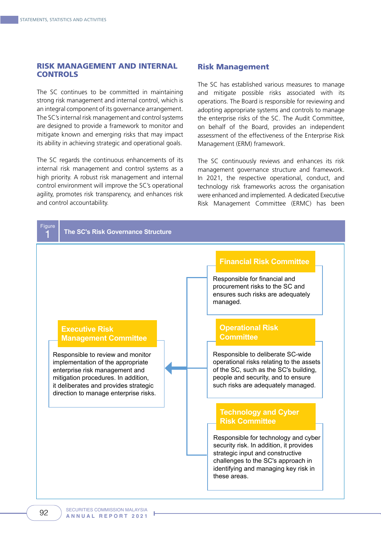# RISK MANAGEMENT AND INTERNAL **CONTROLS**

The SC continues to be committed in maintaining strong risk management and internal control, which is an integral component of its governance arrangement. The SC's internal risk management and control systems are designed to provide a framework to monitor and mitigate known and emerging risks that may impact its ability in achieving strategic and operational goals.

The SC regards the continuous enhancements of its internal risk management and control systems as a high priority. A robust risk management and internal control environment will improve the SC's operational agility, promotes risk transparency, and enhances risk and control accountability.

#### Risk Management

The SC has established various measures to manage and mitigate possible risks associated with its operations. The Board is responsible for reviewing and adopting appropriate systems and controls to manage the enterprise risks of the SC. The Audit Committee, on behalf of the Board, provides an independent assessment of the effectiveness of the Enterprise Risk Management (ERM) framework.

The SC continuously reviews and enhances its risk management governance structure and framework. In 2021, the respective operational, conduct, and technology risk frameworks across the organisation were enhanced and implemented. A dedicated Executive Risk Management Committee (ERMC) has been

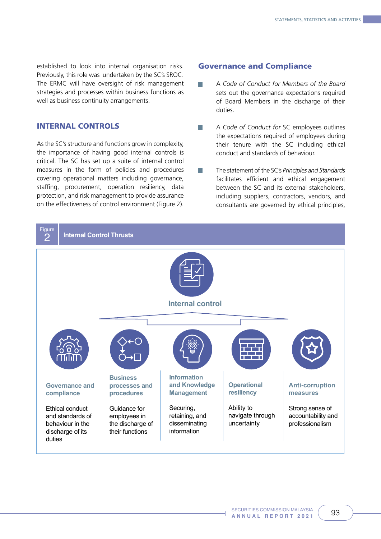established to look into internal organisation risks. Previously, this role was undertaken by the SC's SROC. The ERMC will have oversight of risk management strategies and processes within business functions as well as business continuity arrangements.

# INTERNAL CONTROLS

As the SC's structure and functions grow in complexity, the importance of having good internal controls is critical. The SC has set up a suite of internal control measures in the form of policies and procedures covering operational matters including governance, staffing, procurement, operation resiliency, data protection, and risk management to provide assurance on the effectiveness of control environment (Figure 2).

#### Governance and Compliance

- H A *Code of Conduct for Members of the Board* sets out the governance expectations required of Board Members in the discharge of their duties.
- H A *Code of Conduct for* SC employees outlines the expectations required of employees during their tenure with the SC including ethical conduct and standards of behaviour.
- n. The statement of the SC's *Principles and Standards*  facilitates efficient and ethical engagement between the SC and its external stakeholders, including suppliers, contractors, vendors, and consultants are governed by ethical principles,

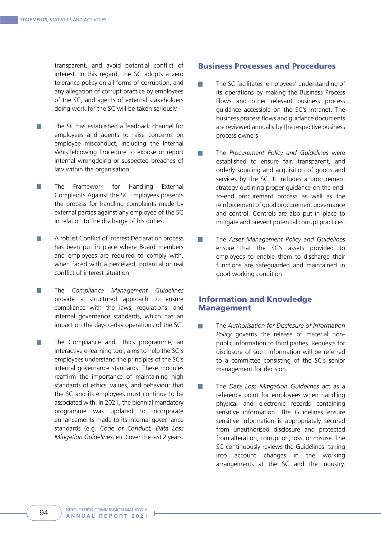transparent, and avoid potential conflict of interest. In this regard, the SC adopts a zero tolerance policy on all forms of corruption, and any allegation of corrupt practice by employees of the SC, and agents of external stakeholders doing work for the SC will be taken seriously.

- The SC has established a feedback channel for **I** employees and agents to raise concerns on employee misconduct, including the Internal Whistleblowing Procedure to expose or report internal wrongdoing or suspected breaches of law within the organisation.
- П The Framework for Handling External Complaints Against the SC Employees presents the process for handling complaints made by external parties against any employee of the SC in relation to the discharge of his duties.
- A robust Conflict of Interest Declaration process **Tara** has been put in place where Board members and employees are required to comply with, when faced with a perceived, potential or real conflict of interest situation.
- The *Compliance Management Guidelines*  T. provide a structured approach to ensure compliance with the laws, regulations, and internal governance standards, which has an impact on the day-to-day operations of the SC.
- $\sim$ The Compliance and Ethics programme, an interactive e-learning tool, aims to help the SC's employees understand the principles of the SC's internal governance standards. These modules reaffirm the importance of maintaining high standards of ethics, values, and behaviour that the SC and its employees must continue to be associated with. In 2021, the biennial mandatory programme was updated to incorporate enhancements made to its internal governance standards (e.g. *Code of Conduct, Data Loss Mitigation Guidelines*, etc.) over the last 2 years.

#### Business Processes and Procedures

- The SC facilitates employees' understanding of T. its operations by making the Business Process Flows and other relevant business process guidance accessible on the SC's intranet. The business process flows and guidance documents are reviewed annually by the respective business process owners.
- The *Procurement Policy and Guidelines* were established to ensure fair, transparent, and orderly sourcing and acquisition of goods and services by the SC. It includes a procurement strategy outlining proper guidance on the endto-end procurement process as well as the reinforcement of good procurement governance and control. Controls are also put in place to mitigate and prevent potential corrupt practices.
- The *Asset Management Policy and Guidelines*  T. ensure that the SC's assets provided to employees to enable them to discharge their functions are safeguarded and maintained in good working condition.

# Information and Knowledge **Management**

- The *Authorisation for Disclosure of Information*  n. *Policy* governs the release of material nonpublic information to third parties. Requests for disclosure of such information will be referred to a committee consisting of the SC's senior management for decision.
- П The *Data Loss Mitigation Guidelines* act as a reference point for employees when handling physical and electronic records containing sensitive information. The Guidelines ensure sensitive information is appropriately secured from unauthorised disclosure and protected from alteration, corruption, loss, or misuse. The SC continuously reviews the Guidelines, taking into account changes in the working arrangements at the SC and the industry.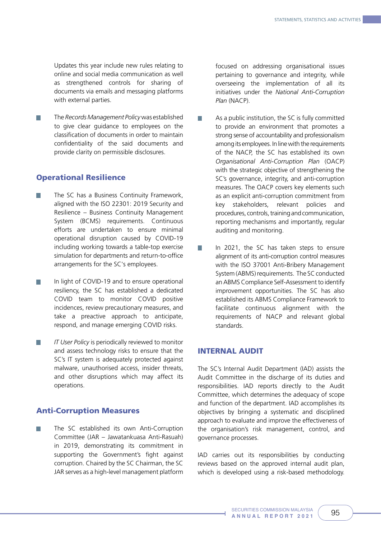Updates this year include new rules relating to online and social media communication as well as strengthened controls for sharing of documents via emails and messaging platforms with external parties.

The *Records Management Policy* was established to give clear guidance to employees on the classification of documents in order to maintain confidentiality of the said documents and provide clarity on permissible disclosures.

# Operational Resilience

- The SC has a Business Continuity Framework, **The State** aligned with the ISO 22301: 2019 Security and Resilience – Business Continuity Management System (BCMS) requirements. Continuous efforts are undertaken to ensure minimal operational disruption caused by COVID-19 including working towards a table-top exercise simulation for departments and return-to-office arrangements for the SC's employees.
- In light of COVID-19 and to ensure operational **Tale** resiliency, the SC has established a dedicated COVID team to monitor COVID positive incidences, review precautionary measures, and take a preactive approach to anticipate, respond, and manage emerging COVID risks.
- $\sim$ *IT User Policy* is periodically reviewed to monitor and assess technology risks to ensure that the SC's IT system is adequately protected against malware, unauthorised access, insider threats, and other disruptions which may affect its operations.

# Anti-Corruption Measures

The SC established its own Anti-Corruption **Tara** Committee (JAR – Jawatankuasa Anti-Rasuah) in 2019, demonstrating its commitment in supporting the Government's fight against corruption. Chaired by the SC Chairman, the SC JAR serves as a high-level management platform

focused on addressing organisational issues pertaining to governance and integrity, while overseeing the implementation of all its initiatives under the *National Anti-Corruption Plan* (NACP).

- As a public institution, the SC is fully committed to provide an environment that promotes a strong sense of accountability and professionalism among its employees. In line with the requirements of the NACP, the SC has established its own *Organisational Anti-Corruption Plan* (OACP) with the strategic objective of strengthening the SC's governance, integrity, and anti-corruption measures. The OACP covers key elements such as an explicit anti-corruption commitment from key stakeholders, relevant policies and procedures, controls, training and communication, reporting mechanisms and importantly, regular auditing and monitoring.
- In 2021, the SC has taken steps to ensure alignment of its anti-corruption control measures with the ISO 37001 Anti-Bribery Management System (ABMS) requirements. The SC conducted an ABMS Compliance Self-Assessment to identify improvement opportunities. The SC has also established its ABMS Compliance Framework to facilitate continuous alignment with the requirements of NACP and relevant global standards.

#### INTERNAL AUDIT

The SC's Internal Audit Department (IAD) assists the Audit Committee in the discharge of its duties and responsibilities. IAD reports directly to the Audit Committee, which determines the adequacy of scope and function of the department. IAD accomplishes its objectives by bringing a systematic and disciplined approach to evaluate and improve the effectiveness of the organisation's risk management, control, and governance processes.

IAD carries out its responsibilities by conducting reviews based on the approved internal audit plan, which is developed using a risk-based methodology.